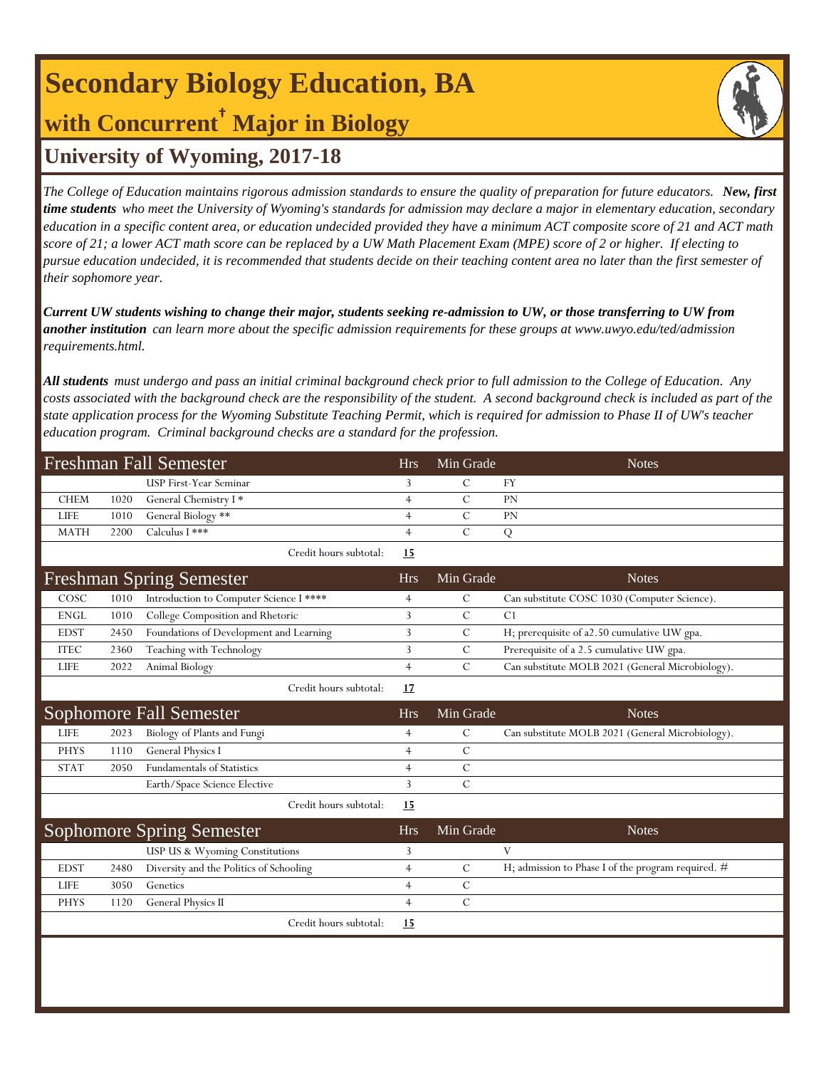# **Secondary Biology Education, BA with Concurrent† Major in Biology**



## **University of Wyoming, 2017-18**

*The College of Education maintains rigorous admission standards to ensure the quality of preparation for future educators. New, first time students who meet the University of Wyoming's standards for admission may declare a major in elementary education, secondary education in a specific content area, or education undecided provided they have a minimum ACT composite score of 21 and ACT math score of 21; a lower ACT math score can be replaced by a UW Math Placement Exam (MPE) score of 2 or higher. If electing to pursue education undecided, it is recommended that students decide on their teaching content area no later than the first semester of their sophomore year.*

*Current UW students wishing to change their major, students seeking re-admission to UW, or those transferring to UW from another institution can learn more about the specific admission requirements for these groups at www.uwyo.edu/ted/admission requirements.html.* 

*All students must undergo and pass an initial criminal background check prior to full admission to the College of Education. Any costs associated with the background check are the responsibility of the student. A second background check is included as part of the state application process for the Wyoming Substitute Teaching Permit, which is required for admission to Phase II of UW's teacher education program. Criminal background checks are a standard for the profession.*

| <b>Freshman Fall Semester</b> |      |                                         |                | Min Grade     | <b>Notes</b>                                       |
|-------------------------------|------|-----------------------------------------|----------------|---------------|----------------------------------------------------|
|                               |      | USP First-Year Seminar                  | 3              | $\mathbf C$   | <b>FY</b>                                          |
| <b>CHEM</b>                   | 1020 | General Chemistry I*                    | $\overline{4}$ | $\mathcal{C}$ | PN                                                 |
| <b>LIFE</b>                   | 1010 | General Biology **                      | $\overline{4}$ | $\mathcal{C}$ | PN                                                 |
| <b>MATH</b>                   | 2200 | Calculus I ***                          | $\overline{4}$ | $\mathcal{C}$ | Q                                                  |
|                               |      | Credit hours subtotal:                  | 15             |               |                                                    |
|                               |      | <b>Freshman Spring Semester</b>         | <b>Hrs</b>     | Min Grade     | <b>Notes</b>                                       |
| COSC                          | 1010 | Introduction to Computer Science I **** | $\overline{4}$ | $\mathcal{C}$ | Can substitute COSC 1030 (Computer Science).       |
| <b>ENGL</b>                   | 1010 | College Composition and Rhetoric        | $\overline{3}$ | $\mathcal{C}$ | C1                                                 |
| <b>EDST</b>                   | 2450 | Foundations of Development and Learning | 3              | $\mathcal{C}$ | H; prerequisite of a2.50 cumulative UW gpa.        |
| <b>ITEC</b>                   | 2360 | Teaching with Technology                | 3              | $\mathcal{C}$ | Prerequisite of a 2.5 cumulative UW gpa.           |
| <b>LIFE</b>                   | 2022 | Animal Biology                          | $\overline{4}$ | $\mathcal{C}$ | Can substitute MOLB 2021 (General Microbiology).   |
|                               |      | Credit hours subtotal:                  | 17             |               |                                                    |
|                               |      | Sophomore Fall Semester                 | <b>Hrs</b>     | Min Grade     | <b>Notes</b>                                       |
| <b>LIFE</b>                   | 2023 | Biology of Plants and Fungi             | $\overline{4}$ | $\mathcal{C}$ | Can substitute MOLB 2021 (General Microbiology).   |
| <b>PHYS</b>                   | 1110 | General Physics I                       | $\overline{4}$ | $\mathcal{C}$ |                                                    |
| <b>STAT</b>                   | 2050 | <b>Fundamentals of Statistics</b>       | $\overline{4}$ | $\mathcal{C}$ |                                                    |
|                               |      | Earth/Space Science Elective            | $\overline{3}$ | $\mathbf C$   |                                                    |
|                               |      | Credit hours subtotal:                  | 15             |               |                                                    |
|                               |      | <b>Sophomore Spring Semester</b>        | <b>Hrs</b>     | Min Grade     | <b>Notes</b>                                       |
|                               |      | USP US & Wyoming Constitutions          | 3              |               | V                                                  |
| <b>EDST</b>                   | 2480 | Diversity and the Politics of Schooling | $\overline{4}$ | $\mathcal{C}$ | H; admission to Phase I of the program required. # |
| <b>LIFE</b>                   | 3050 | Genetics                                | $\overline{4}$ | $\mathcal{C}$ |                                                    |
| <b>PHYS</b>                   | 1120 | General Physics II                      | $\overline{4}$ | $\mathcal{C}$ |                                                    |
|                               |      | Credit hours subtotal:                  | 15             |               |                                                    |
|                               |      |                                         |                |               |                                                    |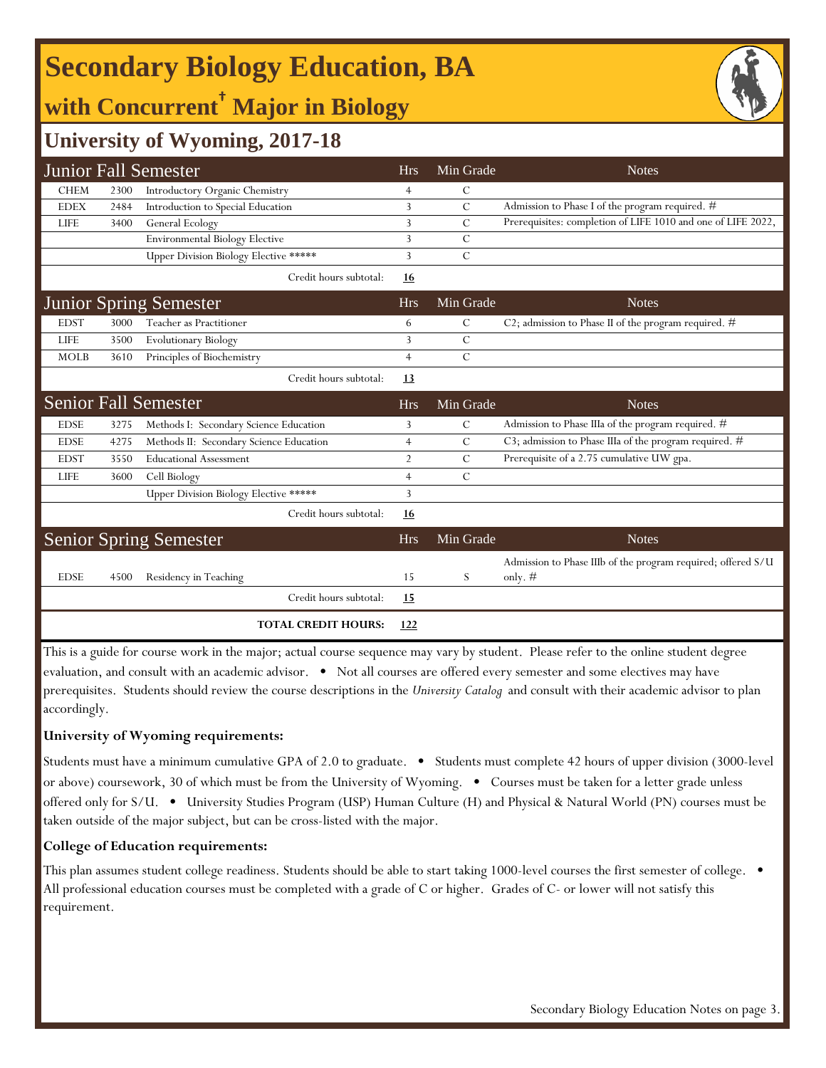# **Secondary Biology Education, BA**

## **with Concurrent† Major in Biology**



### **University of Wyoming, 2017-18**

|             |      | <b>Junior Fall Semester</b>                  | <b>Hrs</b>     | Min Grade      | <b>Notes</b>                                                              |
|-------------|------|----------------------------------------------|----------------|----------------|---------------------------------------------------------------------------|
| <b>CHEM</b> | 2300 | Introductory Organic Chemistry               | $\overline{4}$ | С              |                                                                           |
| <b>EDEX</b> | 2484 | Introduction to Special Education            | 3              | $\mathcal{C}$  | Admission to Phase I of the program required. #                           |
| <b>LIFE</b> | 3400 | General Ecology                              | 3              | $\overline{C}$ | Prerequisites: completion of LIFE 1010 and one of LIFE 2022,              |
|             |      | <b>Environmental Biology Elective</b>        | 3              | C              |                                                                           |
|             |      | <b>Upper Division Biology Elective *****</b> | 3              | $\mathcal{C}$  |                                                                           |
|             |      | Credit hours subtotal:                       | 16             |                |                                                                           |
|             |      | <b>Junior Spring Semester</b>                | <b>Hrs</b>     | Min Grade      | <b>Notes</b>                                                              |
| <b>EDST</b> | 3000 | Teacher as Practitioner                      | 6              | $\mathcal{C}$  | C2; admission to Phase II of the program required. $#$                    |
| <b>LIFE</b> | 3500 | <b>Evolutionary Biology</b>                  | 3              | $\overline{C}$ |                                                                           |
| <b>MOLB</b> | 3610 | Principles of Biochemistry                   | $\overline{4}$ | $\overline{C}$ |                                                                           |
|             |      | Credit hours subtotal:                       | <u>13</u>      |                |                                                                           |
|             |      | <b>Senior Fall Semester</b>                  | <b>Hrs</b>     | Min Grade      | <b>Notes</b>                                                              |
| <b>EDSE</b> | 3275 | Methods I: Secondary Science Education       | 3              | C              | Admission to Phase IIIa of the program required. #                        |
| <b>EDSE</b> | 4275 | Methods II: Secondary Science Education      | $\overline{4}$ | C              | C3; admission to Phase IIIa of the program required. $\#$                 |
| <b>EDST</b> | 3550 | <b>Educational Assessment</b>                | $\overline{2}$ | C              | Prerequisite of a 2.75 cumulative UW gpa.                                 |
| <b>LIFE</b> | 3600 | Cell Biology                                 | $\overline{4}$ | $\mathcal{C}$  |                                                                           |
|             |      | Upper Division Biology Elective *****        | 3              |                |                                                                           |
|             |      | Credit hours subtotal:                       | <u>16</u>      |                |                                                                           |
|             |      | <b>Senior Spring Semester</b>                | <b>Hrs</b>     | Min Grade      | <b>Notes</b>                                                              |
| <b>EDSE</b> | 4500 | Residency in Teaching                        | 15             | S              | Admission to Phase IIIb of the program required; offered S/U<br>only. $#$ |
|             |      | Credit hours subtotal:                       | <u>15</u>      |                |                                                                           |
|             |      | <b>TOTAL CREDIT HOURS:</b>                   | 122            |                |                                                                           |

This is a guide for course work in the major; actual course sequence may vary by student. Please refer to the online student degree evaluation, and consult with an academic advisor. • Not all courses are offered every semester and some electives may have prerequisites. Students should review the course descriptions in the *University Catalog* and consult with their academic advisor to plan accordingly.

#### **University of Wyoming requirements:**

Students must have a minimum cumulative GPA of 2.0 to graduate. • Students must complete 42 hours of upper division (3000-level or above) coursework, 30 of which must be from the University of Wyoming. • Courses must be taken for a letter grade unless offered only for S/U. • University Studies Program (USP) Human Culture (H) and Physical & Natural World (PN) courses must be taken outside of the major subject, but can be cross-listed with the major.

#### **College of Education requirements:**

This plan assumes student college readiness. Students should be able to start taking 1000-level courses the first semester of college. • All professional education courses must be completed with a grade of C or higher. Grades of C- or lower will not satisfy this requirement.